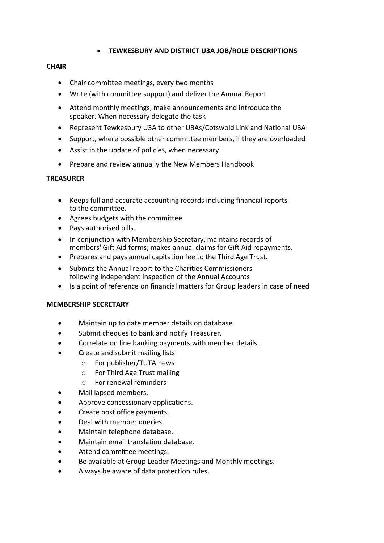# **TEWKESBURY AND DISTRICT U3A JOB/ROLE DESCRIPTIONS**

### **CHAIR**

- Chair committee meetings, every two months
- Write (with committee support) and deliver the Annual Report
- Attend monthly meetings, make announcements and introduce the speaker. When necessary delegate the task
- Represent Tewkesbury U3A to other U3As/Cotswold Link and National U3A
- Support, where possible other committee members, if they are overloaded
- Assist in the update of policies, when necessary
- Prepare and review annually the New Members Handbook

# **TREASURER**

- Keeps full and accurate accounting records including financial reports to the committee.
- Agrees budgets with the committee
- Pays authorised bills.
- In conjunction with Membership Secretary, maintains records of members' Gift Aid forms; makes annual claims for Gift Aid repayments.
- Prepares and pays annual capitation fee to the Third Age Trust.
- Submits the Annual report to the Charities Commissioners following independent inspection of the Annual Accounts
- Is a point of reference on financial matters for Group leaders in case of need

#### **MEMBERSHIP SECRETARY**

- Maintain up to date member details on database.
- Submit cheques to bank and notify Treasurer.
- Correlate on line banking payments with member details.
- Create and submit mailing lists
	- o For publisher/TUTA news
	- o For Third Age Trust mailing
	- o For renewal reminders
- Mail lapsed members.
- Approve concessionary applications.
- Create post office payments.
- Deal with member queries.
- Maintain telephone database.
- Maintain email translation database.
- Attend committee meetings.
- Be available at Group Leader Meetings and Monthly meetings.
- Always be aware of data protection rules.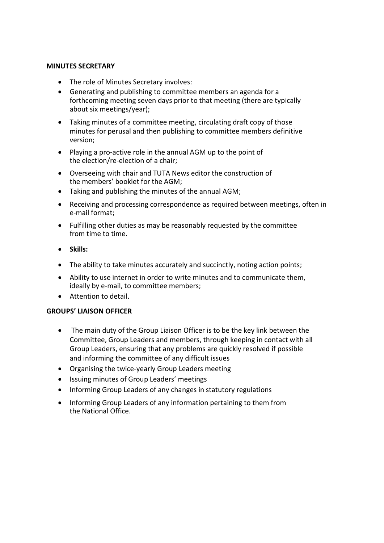#### **MINUTES SECRETARY**

- The role of Minutes Secretary involves:
- Generating and publishing to committee members an agenda for a forthcoming meeting seven days prior to that meeting (there are typically about six meetings/year);
- Taking minutes of a committee meeting, circulating draft copy of those minutes for perusal and then publishing to committee members definitive version;
- Playing a pro-active role in the annual AGM up to the point of the election/re-election of a chair;
- Overseeing with chair and TUTA News editor the construction of the members' booklet for the AGM;
- Taking and publishing the minutes of the annual AGM;
- Receiving and processing correspondence as required between meetings, often in e-mail format;
- Fulfilling other duties as may be reasonably requested by the committee from time to time.
- **Skills:**
- The ability to take minutes accurately and succinctly, noting action points;
- Ability to use internet in order to write minutes and to communicate them, ideally by e-mail, to committee members;
- Attention to detail.

#### **GROUPS' LIAISON OFFICER**

- The main duty of the Group Liaison Officer is to be the key link between the Committee, Group Leaders and members, through keeping in contact with all Group Leaders, ensuring that any problems are quickly resolved if possible and informing the committee of any difficult issues
- Organising the twice-yearly Group Leaders meeting
- Issuing minutes of Group Leaders' meetings
- Informing Group Leaders of any changes in statutory regulations
- Informing Group Leaders of any information pertaining to them from the National Office.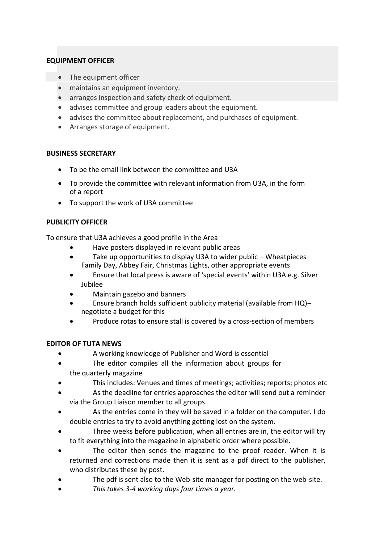## **EQUIPMENT OFFICER**

- The equipment officer
- maintains an equipment inventory.
- arranges inspection and safety check of equipment.
- advises committee and group leaders about the equipment.
- advises the committee about replacement, and purchases of equipment.
- Arranges storage of equipment.

## **BUSINESS SECRETARY**

- To be the email link between the committee and U3A
- To provide the committee with relevant information from U3A, in the form of a report
- To support the work of U3A committee

## **PUBLICITY OFFICER**

To ensure that U3A achieves a good profile in the Area

- Have posters displayed in relevant public areas
- Take up opportunities to display U3A to wider public Wheatpieces Family Day, Abbey Fair, Christmas Lights, other appropriate events
- Ensure that local press is aware of 'special events' within U3A e.g. Silver Jubilee
- Maintain gazebo and banners
- Ensure branch holds sufficient publicity material (available from HQ)– negotiate a budget for this
- Produce rotas to ensure stall is covered by a cross-section of members

# **EDITOR OF TUTA NEWS**

- A working knowledge of Publisher and Word is essential
- The editor compiles all the information about groups for the quarterly magazine
- This includes: Venues and times of meetings; activities; reports; photos etc
- As the deadline for entries approaches the editor will send out a reminder via the Group Liaison member to all groups.
- As the entries come in they will be saved in a folder on the computer. I do double entries to try to avoid anything getting lost on the system.
- Three weeks before publication, when all entries are in, the editor will try to fit everything into the magazine in alphabetic order where possible.
- The editor then sends the magazine to the proof reader. When it is returned and corrections made then it is sent as a pdf direct to the publisher, who distributes these by post.
- The pdf is sent also to the Web-site manager for posting on the web-site.
- *This takes 3-4 working days four times a year.*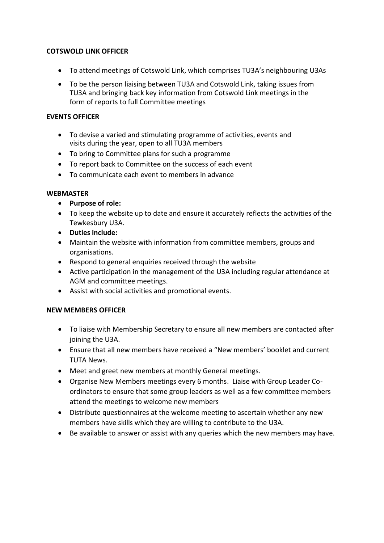## **COTSWOLD LINK OFFICER**

- To attend meetings of Cotswold Link, which comprises TU3A's neighbouring U3As
- To be the person liaising between TU3A and Cotswold Link, taking issues from TU3A and bringing back key information from Cotswold Link meetings in the form of reports to full Committee meetings

## **EVENTS OFFICER**

- To devise a varied and stimulating programme of activities, events and visits during the year, open to all TU3A members
- To bring to Committee plans for such a programme
- To report back to Committee on the success of each event
- To communicate each event to members in advance

#### **WEBMASTER**

- **Purpose of role:**
- To keep the website up to date and ensure it accurately reflects the activities of the Tewkesbury U3A.
- **Duties include:**
- Maintain the website with information from committee members, groups and organisations.
- Respond to general enquiries received through the website
- Active participation in the management of the U3A including regular attendance at AGM and committee meetings.
- Assist with social activities and promotional events.

#### **NEW MEMBERS OFFICER**

- To liaise with Membership Secretary to ensure all new members are contacted after joining the U3A.
- Ensure that all new members have received a "New members' booklet and current TUTA News.
- Meet and greet new members at monthly General meetings.
- Organise New Members meetings every 6 months. Liaise with Group Leader Coordinators to ensure that some group leaders as well as a few committee members attend the meetings to welcome new members
- Distribute questionnaires at the welcome meeting to ascertain whether any new members have skills which they are willing to contribute to the U3A.
- Be available to answer or assist with any queries which the new members may have.